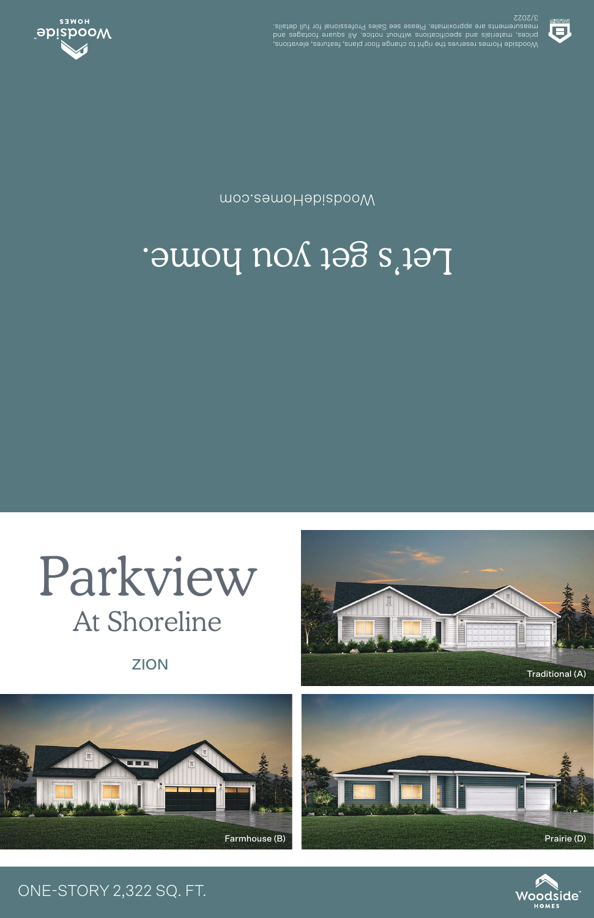Woodside Homes reserves the right to change floor plans, features, elevations, prices, materials and specifications without notice. All square footages and measurements are approximate. Please see Sales Professional for full details. 3/2022



## Let's get you home.

WoodsideHomes.com



## ONE-STORY 2,322 SQ. FT.



ZION



## Parkview At Shoreline



Traditional (A)